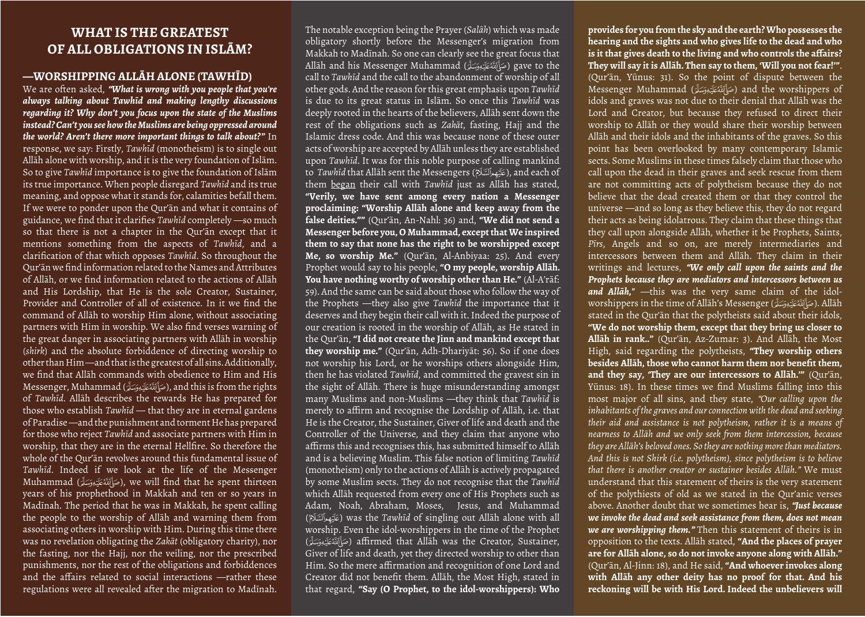## **WHAT IS THE GREATEST OF ALL OBLIGATIONS IN ISLĀM?**

## **—WORSHIPPING ALLĀH ALONE (TAWHĪD)**

We are often asked, *"What is wrong with you people that you're always talking about Tawhīd and making lengthy discussions regarding it? Why don't you focus upon the state of the Muslims instead? Can't you see how the Muslims are being oppressed around the world? Aren't there more important things to talk about?"* In response, we say: Firstly, *Tawhīd* (monotheism) is to single out Allāh alone with worship, and it is the very foundation of Islām. So to give *Tawhīd* importance is to give the foundation of Islām its true importance. When people disregard *Tawhīd* and its true meaning, and oppose what it stands for, calamities befall them. If we were to ponder upon the Qur'ān and what it contains of guidance, we find that it clarifies *Tawhīd* completely —so much so that there is not a chapter in the Qur'ān except that it mentions something from the aspects of *Tawhīd*, and a clarification of that which opposes *Tawhīd*. So throughout the Qur'ān we find information related to the Names and Attributes of Allāh, or we find information related to the actions of Allāh and His Lordship, that He is the sole Creator, Sustainer, Provider and Controller of all of existence. In it we find the command of Allāh to worship Him alone, without associating partners with Him in worship. We also find verses warning of the great danger in associating partners with Allāh in worship (*shirk*) and the absolute forbiddence of directing worship to other than Him —and that is the greatest of all sins. Additionally, we find that Allāh commands with obedience to Him and His Messenger, Muhammad (صَأَلَلَهُ عَلَيْهِ وَسَلَّةِ), and this is from the rights of *Tawhīd*. Allāh describes the rewards He has prepared for those who establish *Tawhīd* — that they are in eternal gardens of Paradise —and the punishment and torment He has prepared for those who reject *Tawhīd* and associate partners with Him in worship, that they are in the eternal Hellfire. So therefore the whole of the Qur'an revolves around this fundamental issue of *Tawhīd*. Indeed if we look at the life of the Messenger Muhammad (صَأَلَلَهُ عَلَيْهِ مَسَلَّى), we will find that he spent thirteen years of his prophethood in Makkah and ten or so years in Madīnah. The period that he was in Makkah, he spent calling the people to the worship of Allāh and warning them from associating others in worship with Him. During this time there was no revelation obligating the *Zakāt* (obligatory charity), nor the fasting, nor the Hajj, nor the veiling, nor the prescribed punishments, nor the rest of the obligations and forbiddences and the affairs related to social interactions —rather these regulations were all revealed after the migration to Madīnah.

The notable exception being the Prayer (*Salāh*) which was made obligatory shortly before the Messenger's migration from Makkah to Madīnah. So one can clearly see the great focus that Allāh and his Messenger Muhammad (H) gave to the call to *Tawhīd* and the call to the abandonment of worship of all other gods. And the reason for this great emphasis upon *Tawhīd* is due to its great status in Islām. So once this *Tawhīd* was deeply rooted in the hearts of the believers, Allāh sent down the rest of the obligations such as *Zakāt*, fasting, Hajj and the Islamic dress code. And this was because none of these outer acts of worship are accepted by Allāh unless they are established upon *Tawhīd*. It was for this noble purpose of calling mankind to *Tawhīd* that Allāh sent the Messengers (Q), and each of them began their call with *Tawhīd* just as Allāh has stated, **"Verily, we have sent among every nation a Messenger proclaiming: "Worship Allāh alone and keep away from the false deities.""** (Qur'ān, An-Nahl: 36) and, **"We did not send a Messenger before you, O Muhammad, except that We inspired them to say that none has the right to be worshipped except Me, so worship Me."** (Qur'ān, Al-Anbiyaa: 25). And every Prophet would say to his people, **"O my people, worship Allāh. You have nothing worthy of worship other than He."** (Al-A'rāf: 59). And the same can be said about those who follow the way of the Prophets —they also give *Tawhīd* the importance that it deserves and they begin their call with it. Indeed the purpose of our creation is rooted in the worship of Allāh, as He stated in the Qur'ān, **"I did not create the Jinn and mankind except that they worship me."** (Qur'ān, Adh-Dhariyāt: 56). So if one does not worship his Lord, or he worships others alongside Him, then he has violated *Tawhīd*, and committed the gravest sin in the sight of Allāh. There is huge misunderstanding amongst many Muslims and non-Muslims —they think that *Tawhīd* is merely to affirm and recognise the Lordship of Allāh, i.e. that He is the Creator, the Sustainer, Giver of life and death and the Controller of the Universe, and they claim that anyone who affirms this and recognises this, has submitted himself to Allāh and is a believing Muslim. This false notion of limiting *Tawhīd* (monotheism) only to the actions of Allāh is actively propagated by some Muslim sects. They do not recognise that the *Tawhīd* which Allāh requested from every one of His Prophets such as Adam, Noah, Abraham, Moses, Jesus, and Muhammad (Q) was the *Tawhīd* of singling out Allāh alone with all worship. Even the idol-worshippers in the time of the Prophet (صَأَلِّلَةُ عَلَيْهِ وَسَلَّةَ) affirmed that Allāh was the Creator, Sustainer, Giver of life and death, yet they directed worship to other than Him. So the mere affirmation and recognition of one Lord and Creator did not benefit them. Allāh, the Most High, stated in that regard, **"Say (O Prophet, to the idol-worshippers): Who** 

**provides for you from the sky and the earth? Who possesses the hearing and the sights and who gives life to the dead and who is it that gives death to the living and who controls the affairs? They will say it is Allāh. Then say to them, 'Will you not fear!'"**. (Qur'ān, Yūnus: 31). So the point of dispute between the Messenger Muhammad (صَأَلَلَهُ عَلَيْهِ وَسَلَّةٍ) and the worshippers of idols and graves was not due to their denial that Allāh was the Lord and Creator, but because they refused to direct their worship to Allāh or they would share their worship between Allāh and their idols and the inhabitants of the graves. So this point has been overlooked by many contemporary Islamic sects. Some Muslims in these times falsely claim that those who call upon the dead in their graves and seek rescue from them are not committing acts of polytheism because they do not believe that the dead created them or that they control the universe —and so long as they believe this, they do not regard their acts as being idolatrous. They claim that these things that they call upon alongside Allāh, whether it be Prophets, Saints, *Pīrs*, Angels and so on, are merely intermediaries and intercessors between them and Allāh. They claim in their writings and lectures, *"We only call upon the saints and the Prophets because they are mediators and intercessors between us and Allāh,"* —this was the very same claim of the idolworshippers in the time of Allāh's Messenger (صَأَلِلَّةُ عَلَيْهِ وَسَلَّمَ stated in the Qur'ān that the polytheists said about their idols, **"We do not worship them, except that they bring us closer to Allāh in rank.."** (Qur'ān, Az-Zumar: 3). And Allāh, the Most High, said regarding the polytheists, **"They worship others besides Allāh, those who cannot harm them nor benefit them, and they say, 'They are our intercessors to Allāh.'"** (Qur'ān, Yūnus: 18). In these times we find Muslims falling into this most major of all sins, and they state, *"Our calling upon the inhabitants of the graves and our connection with the dead and seeking their aid and assistance is not polytheism, rather it is a means of nearness to Allāh and we only seek from them intercession, because they are Allāh's beloved ones. So they are nothing more than mediators. And this is not Shirk (i.e. polytheism), since polytheism is to believe that there is another creator or sustainer besides Allāh."* We must understand that this statement of theirs is the very statement of the polythiests of old as we stated in the Qur'anic verses above. Another doubt that we sometimes hear is, *"Just because we invoke the dead and seek assistance from them, does not mean we are worshipping them."* Then this statement of theirs is in opposition to the texts. Allāh stated, **"And the places of prayer are for Allāh alone, so do not invoke anyone along with Allāh."** (Qur'ān, Al-Jinn: 18), and He said, **"And whoever invokes along with Allāh any other deity has no proof for that. And his reckoning will be with His Lord. Indeed the unbelievers will**